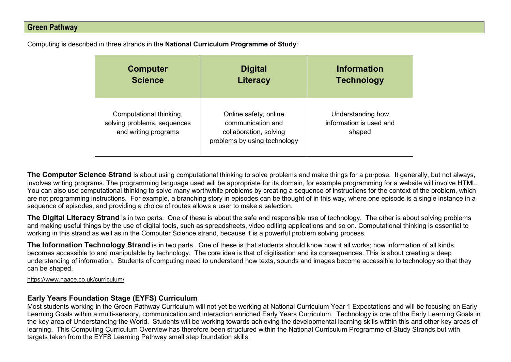Computing is described in three strands in the **National Curriculum Programme of Study**:

| <b>Computer</b>                                                                | <b>Digital</b>                                                                                       | <b>Information</b>                                     |
|--------------------------------------------------------------------------------|------------------------------------------------------------------------------------------------------|--------------------------------------------------------|
| <b>Science</b>                                                                 | <b>Literacy</b>                                                                                      | <b>Technology</b>                                      |
| Computational thinking,<br>solving problems, sequences<br>and writing programs | Online safety, online<br>communication and<br>collaboration, solving<br>problems by using technology | Understanding how<br>information is used and<br>shaped |

**The Computer Science Strand** is about using computational thinking to solve problems and make things for a purpose. It generally, but not always, involves writing programs. The programming language used will be appropriate for its domain, for example programming for a website will involve HTML. You can also use computational thinking to solve many worthwhile problems by creating a sequence of instructions for the context of the problem, which are not programming instructions. For example, a branching story in episodes can be thought of in this way, where one episode is a single instance in a sequence of episodes, and providing a choice of routes allows a user to make a selection.

**The Digital Literacy Strand** is in two parts. One of these is about the safe and responsible use of technology. The other is about solving problems and making useful things by the use of digital tools, such as spreadsheets, video editing applications and so on. Computational thinking is essential to working in this strand as well as in the Computer Science strand, because it is a powerful problem solving process.

**The Information Technology Strand** is in two parts. One of these is that students should know how it all works; how information of all kinds becomes accessible to and manipulable by technology. The core idea is that of digitisation and its consequences. This is about creating a deep understanding of information. Students of computing need to understand how texts, sounds and images become accessible to technology so that they can be shaped.

<https://www.naace.co.uk/curriculum/>

#### **Early Years Foundation Stage (EYFS) Curriculum**

Most students working in the Green Pathway Curriculum will not yet be working at National Curriculum Year 1 Expectations and will be focusing on Early Learning Goals within a multi-sensory, communication and interaction enriched Early Years Curriculum. Technology is one of the Early Learning Goals in the key area of Understanding the World. Students will be working towards achieving the developmental learning skills within this and other key areas of learning. This Computing Curriculum Overview has therefore been structured within the National Curriculum Programme of Study Strands but with targets taken from the EYFS Learning Pathway small step foundation skills.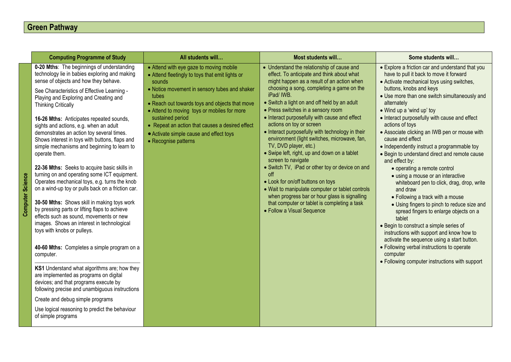**Computer Science**

**Computer Science** 

| <b>Computing Programme of Study</b>                                                                                                                                                                                                                                                                                                                                                                                                                                                                                                                                                                                                                                                                                                                                                                                                                                                                                                                                                                                                                                                                                                                                                                                                                                                                         | All students will                                                                                                                                                                                                                                                                                                                                                                                         | Most students will                                                                                                                                                                                                                                                                                                                                                                                                                                                                                                                                                                                                                                                                                                                                                                                                                                       | Some students will                                                                                                                                                                                                                                                                                                                                                                                                                                                                                                                                                                                                                                                                                                                                                                                                                                                                                                                                                                                                                                    |
|-------------------------------------------------------------------------------------------------------------------------------------------------------------------------------------------------------------------------------------------------------------------------------------------------------------------------------------------------------------------------------------------------------------------------------------------------------------------------------------------------------------------------------------------------------------------------------------------------------------------------------------------------------------------------------------------------------------------------------------------------------------------------------------------------------------------------------------------------------------------------------------------------------------------------------------------------------------------------------------------------------------------------------------------------------------------------------------------------------------------------------------------------------------------------------------------------------------------------------------------------------------------------------------------------------------|-----------------------------------------------------------------------------------------------------------------------------------------------------------------------------------------------------------------------------------------------------------------------------------------------------------------------------------------------------------------------------------------------------------|----------------------------------------------------------------------------------------------------------------------------------------------------------------------------------------------------------------------------------------------------------------------------------------------------------------------------------------------------------------------------------------------------------------------------------------------------------------------------------------------------------------------------------------------------------------------------------------------------------------------------------------------------------------------------------------------------------------------------------------------------------------------------------------------------------------------------------------------------------|-------------------------------------------------------------------------------------------------------------------------------------------------------------------------------------------------------------------------------------------------------------------------------------------------------------------------------------------------------------------------------------------------------------------------------------------------------------------------------------------------------------------------------------------------------------------------------------------------------------------------------------------------------------------------------------------------------------------------------------------------------------------------------------------------------------------------------------------------------------------------------------------------------------------------------------------------------------------------------------------------------------------------------------------------------|
| 0-20 Mths: The beginnings of understanding<br>technology lie in babies exploring and making<br>sense of objects and how they behave.<br>See Characteristics of Effective Learning -<br>Playing and Exploring and Creating and<br><b>Thinking Critically</b><br>16-26 Mths: Anticipates repeated sounds,<br>sights and actions, e.g. when an adult<br>demonstrates an action toy several times.<br>Shows interest in toys with buttons, flaps and<br>simple mechanisms and beginning to learn to<br>operate them.<br>22-36 Mths: Seeks to acquire basic skills in<br>turning on and operating some ICT equipment.<br>Operates mechanical toys, e.g. turns the knob<br>on a wind-up toy or pulls back on a friction car.<br>30-50 Mths: Shows skill in making toys work<br>by pressing parts or lifting flaps to achieve<br>effects such as sound, movements or new<br>images. Shows an interest in technological<br>toys with knobs or pulleys.<br>40-60 Mths: Completes a simple program on a<br>computer.<br>KS1 Understand what algorithms are; how they<br>are implemented as programs on digital<br>devices; and that programs execute by<br>following precise and unambiguous instructions<br>Create and debug simple programs<br>Use logical reasoning to predict the behaviour<br>of simple programs | • Attend with eye gaze to moving mobile<br>• Attend fleetingly to toys that emit lights or<br>sounds<br>• Notice movement in sensory tubes and shaker<br>tubes<br>• Reach out towards toys and objects that move<br>• Attend to moving toys or mobiles for more<br>sustained period<br>• Repeat an action that causes a desired effect<br>• Activate simple cause and effect toys<br>• Recognise patterns | • Understand the relationship of cause and<br>effect. To anticipate and think about what<br>might happen as a result of an action when<br>choosing a song, completing a game on the<br>iPad/IWB.<br>• Switch a light on and off held by an adult<br>• Press switches in a sensory room<br>• Interact purposefully with cause and effect<br>actions on toy or screen<br>• Interact purposefully with technology in their<br>environment (light switches, microwave, fan,<br>TV, DVD player, etc.)<br>• Swipe left, right, up and down on a tablet<br>screen to navigate<br>• Switch TV, iPad or other toy or device on and<br>off<br>• Look for on/off buttons on toys<br>• Wait to manipulate computer or tablet controls<br>when progress bar or hour glass is signalling<br>that computer or tablet is completing a task<br>• Follow a Visual Sequence | • Explore a friction car and understand that you<br>have to pull it back to move it forward<br>• Activate mechanical toys using switches,<br>buttons, knobs and keys<br>• Use more than one switch simultaneously and<br>alternately<br>• Wind up a 'wind up' toy<br>• Interact purposefully with cause and effect<br>actions of toys<br>• Associate clicking an IWB pen or mouse with<br>cause and effect<br>• Independently instruct a programmable toy<br>• Begin to understand direct and remote cause<br>and effect by:<br>• operating a remote control<br>• using a mouse or an interactive<br>whiteboard pen to click, drag, drop, write<br>and draw<br>• Following a track with a mouse<br>• Using fingers to pinch to reduce size and<br>spread fingers to enlarge objects on a<br>tablet<br>• Begin to construct a simple series of<br>instructions with support and know how to<br>activate the sequence using a start button.<br>• Following verbal instructions to operate<br>computer<br>• Following computer instructions with support |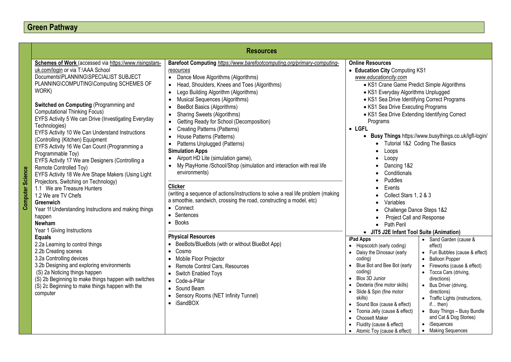| <b>Computer Science</b> | <b>Schemes of Work (accessed via https://www.risingstars-</b><br>uk.com/login or via T:\AAA School<br>Documents\PLANNING\SPECIALIST SUBJECT<br>PLANNING\COMPUTING\Computing SCHEMES OF<br>WORK)<br>Switched on Computing (Programming and<br><b>Computational Thinking Focus)</b><br>EYFS Activity 5 We can Drive (Investigating Everyday<br>Technologies)<br>EYFS Activity 10 We Can Understand Instructions<br>(Controlling (Kitchen) Equipment<br>EYFS Activity 16 We Can Count (Programming a<br>Programmable Toy)<br>EYFS Activity 17 We are Designers (Controlling a<br>Remote Controlled Toy)<br>EYFS Activity 18 We Are Shape Makers (Using Light<br>Projectors, Switching on Technology)<br>1.1 We are Treasure Hunters<br>1.2 We are TV Chefs<br>Greenwich<br>Year 1f Understanding Instructions and making things<br>happen<br>Newham | Barefoot Computing https://www.barefootcomputing.org/primary-computing-<br>resources<br>Dance Move Algorithms (Algorithms)<br>$\bullet$<br>Head, Shoulders, Knees and Toes (Algorithms)<br>Lego Building Algorithm (Algorithms)<br>$\bullet$<br>Musical Sequences (Algorithms)<br>$\bullet$<br>BeeBot Basics (Algorithms)<br>$\bullet$<br><b>Sharing Sweets (Algorithms)</b><br>$\bullet$<br>Getting Ready for School (Decomposition)<br>$\bullet$<br><b>Creating Patterns (Patterns)</b><br>$\bullet$<br>House Patterns (Patterns)<br>$\bullet$<br>Patterns Unplugged (Patterns)<br>$\bullet$<br><b>Simulation Apps</b><br>Airport HD Lite (simulation game),<br>$\bullet$<br>My PlayHome /School/Shop (simulation and interaction with real life<br>$\bullet$<br>environments)<br><b>Clicker</b><br>(writing a sequence of actions/instructions to solve a real life problem (making<br>a smoothie, sandwich, crossing the road, constructing a model, etc)<br>• Connect<br>Sentences<br>$\bullet$<br>• Books | <b>Online Resources</b><br>• Education City Computing KS1<br>www.educationcity.com<br>• KS1 Crane Game Predict Simple Algorithms<br>• KS1 Everyday Algorithms Unplugged<br>• KS1 Sea Drive Identifying Correct Programs<br>• KS1 Sea Drive Executing Programs<br>• KS1 Sea Drive Extending Identifying Correct<br>Programs<br>$\bullet$ LGFL<br>• Busy Things https://www.busythings.co.uk/lgfl-login/<br>Tutorial 1&2 Coding The Basics<br>Loops<br>Loopy<br>Dancing 1&2<br>Conditionals<br>Puddles<br>Events<br>Collect Stars 1, 2 & 3<br>Variables<br>Challenge Dance Steps 1&2<br><b>Project Call and Response</b><br>Path Peril<br>$\bullet$                                                                                                                                       |
|-------------------------|--------------------------------------------------------------------------------------------------------------------------------------------------------------------------------------------------------------------------------------------------------------------------------------------------------------------------------------------------------------------------------------------------------------------------------------------------------------------------------------------------------------------------------------------------------------------------------------------------------------------------------------------------------------------------------------------------------------------------------------------------------------------------------------------------------------------------------------------------|-----------------------------------------------------------------------------------------------------------------------------------------------------------------------------------------------------------------------------------------------------------------------------------------------------------------------------------------------------------------------------------------------------------------------------------------------------------------------------------------------------------------------------------------------------------------------------------------------------------------------------------------------------------------------------------------------------------------------------------------------------------------------------------------------------------------------------------------------------------------------------------------------------------------------------------------------------------------------------------------------------------------|-----------------------------------------------------------------------------------------------------------------------------------------------------------------------------------------------------------------------------------------------------------------------------------------------------------------------------------------------------------------------------------------------------------------------------------------------------------------------------------------------------------------------------------------------------------------------------------------------------------------------------------------------------------------------------------------------------------------------------------------------------------------------------------------|
|                         | Year 1 Giving Instructions<br><b>Equals</b><br>2.2a Learning to control things<br>2.2b Creating scenes<br>3.2a Controlling devices<br>3.2b Designing and exploring environments<br>(S) 2a Noticing things happen<br>(S) 2b Beginning to make things happen with switches<br>(S) 2c Beginning to make things happen with the<br>computer                                                                                                                                                                                                                                                                                                                                                                                                                                                                                                          | <b>Physical Resources</b><br>BeeBots/BlueBots (with or without BlueBot App)<br>$\bullet$<br>Cosmo<br>$\bullet$<br>Mobile Floor Projector<br>$\bullet$<br>Remote Control Cars, Resources<br>$\bullet$<br>Switch Enabled Toys<br>$\bullet$<br>• Code-a-Pillar<br>Sound Beam<br>$\bullet$<br>Sensory Rooms (NET Infinity Tunnel)<br>$\bullet$<br>• iSandBOX                                                                                                                                                                                                                                                                                                                                                                                                                                                                                                                                                                                                                                                        | • JIT5 J2E Infant Tool Suite (Animation)<br>iPad Apps<br>Sand Garden (cause &<br>• Hopscotch (early coding)<br>effect)<br>• Fun Bubbles (cause & effect)<br>Daisy the Dinosaur (early<br>coding)<br>• Balloon Popper<br>• Blue Bot and Bee Bot (early<br>• Fireworks (cause & effect)<br>coding)<br>Tocca Cars (driving,<br>• Blox 3D Junior<br>directions)<br>• Dexteria (fine motor skills)<br>• Bus Driver (driving,<br>• Slide & Spin (fine motor<br>directions)<br>skills)<br>• Traffic Lights (instructions,<br>• Sound Box (cause & effect)<br>if then)<br>Toonia Jelly (cause & effect)<br>• Busy Things - Busy Bundle<br>and Cat & Dog Stories)<br><b>Chooselt Maker</b><br>• iSequences<br>• Fluidity (cause & effect)<br>• Atomic Toy (cause & effect)<br>• Making Sequences |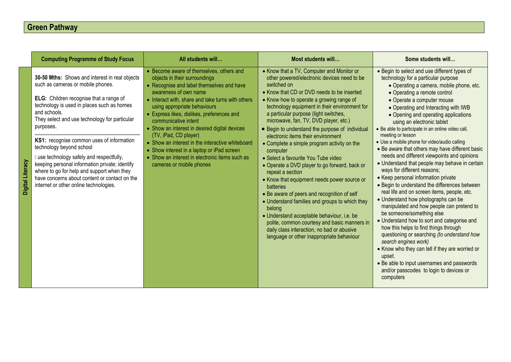|                  | <b>Computing Programme of Study Focus</b>                                                                                                                                                                                                                                                                                                                                                                                                                                                                                                                                   | All students will                                                                                                                                                                                                                                                                                                                                                                                                                                                                                                                                                    | Most students will                                                                                                                                                                                                                                                                                                                                                                                                                                                                                                                                                                                                                                                                                                                                                                                                                                                                                                                                                   | Some students will                                                                                                                                                                                                                                                                                                                                                                                                                                                                                                                                                                                                                                                                                                                                                                                                                                                                                                                                                                                                                                                                                                                                                                                                 |
|------------------|-----------------------------------------------------------------------------------------------------------------------------------------------------------------------------------------------------------------------------------------------------------------------------------------------------------------------------------------------------------------------------------------------------------------------------------------------------------------------------------------------------------------------------------------------------------------------------|----------------------------------------------------------------------------------------------------------------------------------------------------------------------------------------------------------------------------------------------------------------------------------------------------------------------------------------------------------------------------------------------------------------------------------------------------------------------------------------------------------------------------------------------------------------------|----------------------------------------------------------------------------------------------------------------------------------------------------------------------------------------------------------------------------------------------------------------------------------------------------------------------------------------------------------------------------------------------------------------------------------------------------------------------------------------------------------------------------------------------------------------------------------------------------------------------------------------------------------------------------------------------------------------------------------------------------------------------------------------------------------------------------------------------------------------------------------------------------------------------------------------------------------------------|--------------------------------------------------------------------------------------------------------------------------------------------------------------------------------------------------------------------------------------------------------------------------------------------------------------------------------------------------------------------------------------------------------------------------------------------------------------------------------------------------------------------------------------------------------------------------------------------------------------------------------------------------------------------------------------------------------------------------------------------------------------------------------------------------------------------------------------------------------------------------------------------------------------------------------------------------------------------------------------------------------------------------------------------------------------------------------------------------------------------------------------------------------------------------------------------------------------------|
| Digital Literacy | 30-50 Mths: Shows and interest in real objects<br>such as cameras or mobile phones.<br>ELG: Children recognise that a range of<br>technology is used in places such as homes<br>and schools.<br>They select and use technology for particular<br>purposes.<br>KS1: recognise common uses of information<br>technology beyond school<br>I use technology safely and respectfully,<br>keeping personal information private; identify<br>where to go for help and support when they<br>have concerns about content or contact on the<br>internet or other online technologies. | • Become aware of themselves, others and<br>objects in their surroundings<br>• Recognise and label themselves and have<br>awareness of own name<br>• Interact with, share and take turns with others<br>using appropriate behaviours<br>• Express likes, dislikes, preferences and<br>communicative intent<br>• Show an interest in desired digital devices<br>(TV, iPad, CD player)<br>• Show an interest in the interactive whiteboard<br>• Show interest in a laptop or iPad screen<br>• Show an interest in electronic items such as<br>cameras or mobile phones | • Know that a TV, Computer and Monitor or<br>other powered/electronic devices need to be<br>switched on<br>• Know that CD or DVD needs to be inserted<br>• Know how to operate a growing range of<br>technology equipment in their environment for<br>a particular purpose (light switches,<br>microwave, fan, TV, DVD player, etc.)<br>• Begin to understand the purpose of individual<br>electronic items their environment<br>• Complete a simple program activity on the<br>computer<br>• Select a favourite You Tube video<br>• Operate a DVD player to go forward, back or<br>repeat a section<br>• Know that equipment needs power source or<br>batteries<br>• Be aware of peers and recognition of self<br>• Understand families and groups to which they<br>belong<br>• Understand acceptable behaviour, i.e. be<br>polite, common courtesy and basic manners in<br>daily class interaction, no bad or abusive<br>language or other inappropriate behaviour | • Begin to select and use different types of<br>technology for a particular purpose<br>• Operating a camera, mobile phone, etc.<br>• Operating a remote control<br>• Operate a computer mouse<br>• Operating and Interacting with IWB<br>• Opening and operating applications<br>using an electronic tablet<br>• Be able to participate in an online video call,<br>meeting or lesson<br>• Use a mobile phone for video/audio calling<br>• Be aware that others may have different basic<br>needs and different viewpoints and opinions<br>• Understand that people may behave in certain<br>ways for different reasons;<br>• Keep personal information private<br>• Begin to understand the differences between<br>real life and on screen items, people, etc.<br>• Understand how photographs can be<br>manipulated and how people can pretend to<br>be someone/something else<br>• Understand how to sort and categorise and<br>how this helps to find things through<br>questioning or searching (to understand how<br>search engines work)<br>• Know who they can tell if they are worried or<br>upset.<br>• Be able to input usernames and passwords<br>and/or passcodes to login to devices or<br>computers |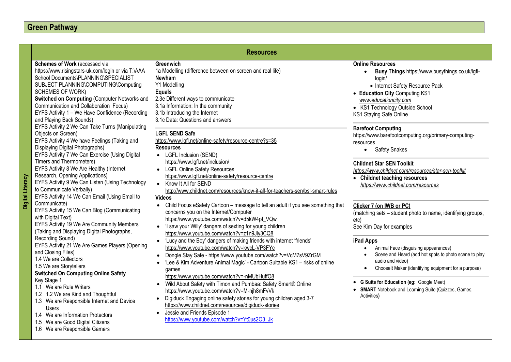|                  |                                                                                                                                                                                                                                                                                                                                                                                                                                                                                                                                                                                                                                                                                                                                                                                                                                  | <b>Resources</b>                                                                                                                                                                                                                                                                                                                                                                                                                                                                                                                                                                                                                                                                                                                                                                                                                                                                                                                                                                                                                            |                                                                                                                                                                                                                                                                                                                                                                                                                                                                                                                                        |
|------------------|----------------------------------------------------------------------------------------------------------------------------------------------------------------------------------------------------------------------------------------------------------------------------------------------------------------------------------------------------------------------------------------------------------------------------------------------------------------------------------------------------------------------------------------------------------------------------------------------------------------------------------------------------------------------------------------------------------------------------------------------------------------------------------------------------------------------------------|---------------------------------------------------------------------------------------------------------------------------------------------------------------------------------------------------------------------------------------------------------------------------------------------------------------------------------------------------------------------------------------------------------------------------------------------------------------------------------------------------------------------------------------------------------------------------------------------------------------------------------------------------------------------------------------------------------------------------------------------------------------------------------------------------------------------------------------------------------------------------------------------------------------------------------------------------------------------------------------------------------------------------------------------|----------------------------------------------------------------------------------------------------------------------------------------------------------------------------------------------------------------------------------------------------------------------------------------------------------------------------------------------------------------------------------------------------------------------------------------------------------------------------------------------------------------------------------------|
| Digital Literacy | Schemes of Work (accessed via<br>https://www.risingstars-uk.com/login or via T:\AAA<br>School Documents\PLANNING\SPECIALIST<br>SUBJECT PLANNING\COMPUTING\Computing<br><b>SCHEMES OF WORK)</b><br>Switched on Computing (Computer Networks and<br>Communication and Collaboration Focus)<br>EYFS Activity 1 - We Have Confidence (Recording<br>and Playing Back Sounds)<br>EYFS Activity 2 We Can Take Turns (Manipulating<br>Objects on Screen)<br>EYFS Activity 4 We have Feelings (Taking and<br>Displaying Digital Photographs)<br>EYFS Activity 7 We Can Exercise (Using Digital<br>Timers and Thermometers)<br>EYFS Activity 8 We Are Healthy (Internet<br>Research, Opening Applications)<br>EYFS Activity 9 We Can Listen (Using Technology<br>to Communicate Verbally)<br>EYFS Activity 14 We Can Email (Using Email to | <b>Greenwich</b><br>1a Modelling (difference between on screen and real life)<br><b>Newham</b><br>Y1 Modelling<br><b>Equals</b><br>2.3e Different ways to communicate<br>3.1a Information: In the community<br>3.1b Introducing the Internet<br>3.1c Data: Questions and answers<br><b>LGFL SEND Safe</b><br>https://www.lgfl.net/online-safety/resource-centre?s=35<br><b>Resources</b><br>• LGFL Inclusion (SEND)<br>https://www.lgfl.net/inclusion/<br><b>LGFL Online Safety Resources</b><br>$\bullet$<br>https://www.lgfl.net/online-safety/resource-centre<br>Know It All for SEND<br>$\bullet$<br>http://www.childnet.com/resources/know-it-all-for-teachers-sen/bsl-smart-rules<br>Videos                                                                                                                                                                                                                                                                                                                                           | <b>Online Resources</b><br>Busy Things https://www.busythings.co.uk/lgfl-<br>login/<br>• Internet Safety Resource Pack<br>• Education City Computing KS1<br>www.educationcity.com<br>• KS1 Technology Outside School<br>KS1 Staying Safe Online<br><b>Barefoot Computing</b><br>https://www.barefootcomputing.org/primary-computing-<br>resources<br>• Safety Snakes<br><b>Childnet Star SEN Toolkit</b><br>https://www.childnet.com/resources/star-sen-toolkit<br>• Childnet teaching resources<br>https://www.childnet.com/resources |
|                  | Communicate)<br>EYFS Activity 15 We Can Blog (Communicating<br>with Digital Text)<br>EYFS Activity 19 We Are Community Members<br>(Taking and Displaying Digital Photographs,<br>Recording Sound)<br>EYFS Activity 21 We Are Games Players (Opening<br>and Closing Files)<br>1.4 We are Collectors<br>1.5 We are Storytellers<br><b>Switched On Computing Online Safety</b><br>Key Stage 1<br>1.1 We are Rule Writers<br>1.2 1.2 We are Kind and Thoughtful<br>1.3 We are Responsible Internet and Device<br>Users<br>1.4 We are Information Protectors<br>1.5 We are Good Digital Citizens<br>1.6 We are Responsible Gamers                                                                                                                                                                                                     | Child Focus eSafety Cartoon - message to tell an adult if you see something that<br>$\bullet$<br>concerns you on the Internet/Computer<br>https://www.youtube.com/watch?v=d5kW4pl_VQw<br>'I saw your Willy' dangers of sexting for young children<br>$\bullet$<br>https://www.youtube.com/watch?v=z1n9Jly3CQ8<br>'Lucy and the Boy' dangers of making friends with internet 'friends'<br>https://www.youtube.com/watch?v=kwcL-VP3FYc<br>Dongle Stay Safe - https://www.youtube.com/watch?v=VcM7sV9ZrGM<br>$\bullet$<br>'Lee & Kim Adventure Animal Magic' - Cartoon Suitable KS1 - risks of online<br>$\bullet$<br>games<br>https://www.youtube.com/watch?v=-nMUbHuffO8<br>Wild About Safety with Timon and Pumbaa: Safety Smart® Online<br>$\bullet$<br>https://www.youtube.com/watch?v=M-njh8mFvVk<br>Digiduck Engaging online safety stories for young children aged 3-7<br>$\bullet$<br>https://www.childnet.com/resources/digiduck-stories<br>Jessie and Friends Episode 1<br>$\bullet$<br>https://www.youtube.com/watch?v=Yt0us2O3_Jk | Clicker 7 (on IWB or PC)<br>(matching sets – student photo to name, identifying groups,<br>etc)<br>See Kim Day for examples<br>iPad Apps<br>Animal Face (disguising appearances)<br>Scene and Heard (add hot spots to photo scene to play<br>audio and video)<br>Chooselt Maker (identifying equipment for a purpose)<br>$\bullet$<br>• G Suite for Education (eg: Google Meet)<br>• SMART Notebook and Learning Suite (Quizzes, Games,<br>Activities)                                                                                 |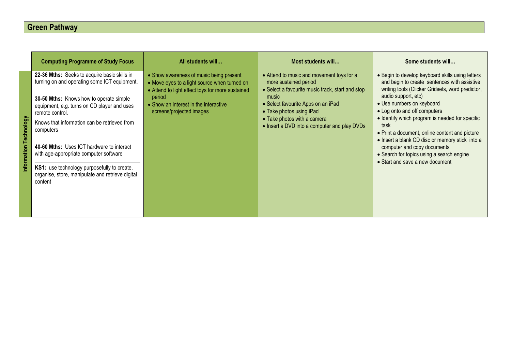|     | <b>Computing Programme of Study Focus</b>                                                                                                                                                                                                                                                                                                                                                                                                                                   | All students will                                                                                                                                                                                                          | <b>Most students will</b>                                                                                                                                                                                                                                                        | Some students will                                                                                                                                                                                                                                                                                                                                                                                                                                                                                                      |
|-----|-----------------------------------------------------------------------------------------------------------------------------------------------------------------------------------------------------------------------------------------------------------------------------------------------------------------------------------------------------------------------------------------------------------------------------------------------------------------------------|----------------------------------------------------------------------------------------------------------------------------------------------------------------------------------------------------------------------------|----------------------------------------------------------------------------------------------------------------------------------------------------------------------------------------------------------------------------------------------------------------------------------|-------------------------------------------------------------------------------------------------------------------------------------------------------------------------------------------------------------------------------------------------------------------------------------------------------------------------------------------------------------------------------------------------------------------------------------------------------------------------------------------------------------------------|
| K6o | 22-36 Mths: Seeks to acquire basic skills in<br>turning on and operating some ICT equipment.<br>30-50 Mths: Knows how to operate simple<br>equipment, e.g. turns on CD player and uses<br>remote control.<br>Knows that information can be retrieved from<br>computers<br>40-60 Mths: Uses ICT hardware to interact<br>with age-appropriate computer software<br>KS1: use technology purposefully to create,<br>organise, store, manipulate and retrieve digital<br>content | • Show awareness of music being present<br>• Move eyes to a light source when turned on<br>• Attend to light effect toys for more sustained<br>period<br>• Show an interest in the interactive<br>screens/projected images | • Attend to music and movement toys for a<br>more sustained period<br>• Select a favourite music track, start and stop<br>music<br>• Select favourite Apps on an iPad<br>• Take photos using iPad<br>• Take photos with a camera<br>• Insert a DVD into a computer and play DVDs | • Begin to develop keyboard skills using letters<br>and begin to create sentences with assistive<br>writing tools (Clicker Gridsets, word predictor,<br>audio support, etc)<br>• Use numbers on keyboard<br>• Log onto and off computers<br>• Identify which program is needed for specific<br>task<br>• Print a document, online content and picture<br>• Insert a blank CD disc or memory stick into a<br>computer and copy documents<br>• Search for topics using a search engine<br>• Start and save a new document |